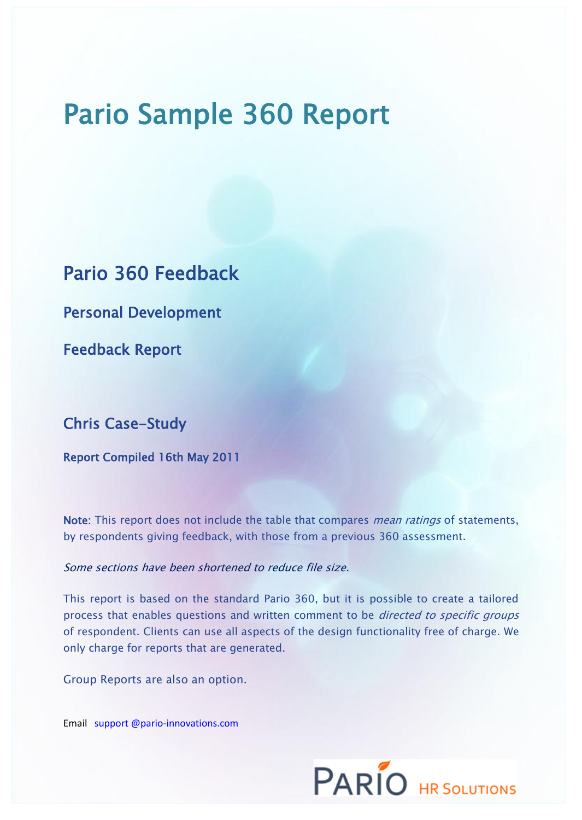# Pario Sample 360 Report

Pario 360 Feedback

Personal Development

Feedback Report

## Chris Case-Study

Report Compiled 16th May 2011

Note: This report does not include the table that compares *mean ratings* of statements, by respondents giving feedback, with those from a previous 360 assessment.

### Some sections have been shortened to reduce file size.

This report is based on the standard Pario 360, but it is possible to create a tailored process that enables questions and written comment to be *directed to specific groups* of respondent. Clients can use all aspects of the design functionality free of charge. We only charge for reports that are generated.

Group Reports are also an option.

Email support @pario-innovations.com

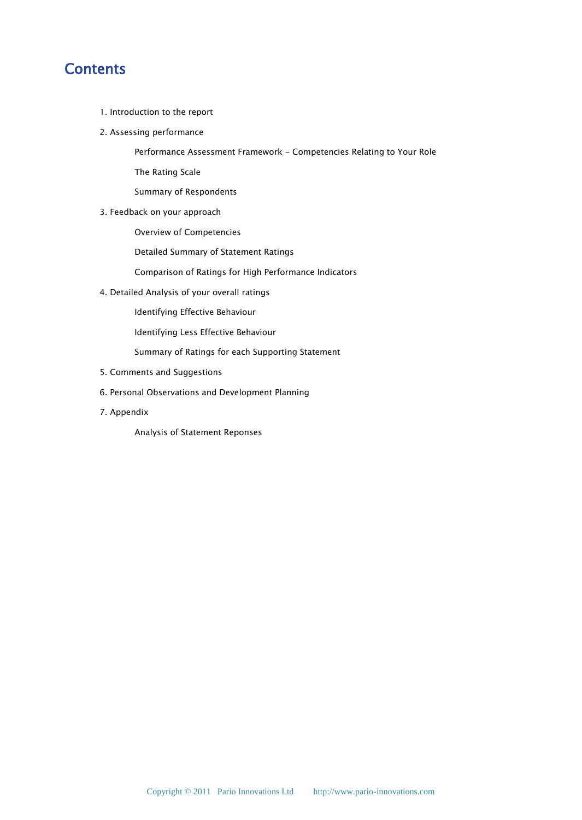# **Contents**

- 1. Introduction to the report
- 2. Assessing performance

Performance Assessment Framework - Competencies Relating to Your Role

The Rating Scale

Summary of Respondents

3. Feedback on your approach

Overview of Competencies

Detailed Summary of Statement Ratings

Comparison of Ratings for High Performance Indicators

4. Detailed Analysis of your overall ratings

Identifying Effective Behaviour

Identifying Less Effective Behaviour

Summary of Ratings for each Supporting Statement

- 5. Comments and Suggestions
- 6. Personal Observations and Development Planning
- 7. Appendix

Analysis of Statement Reponses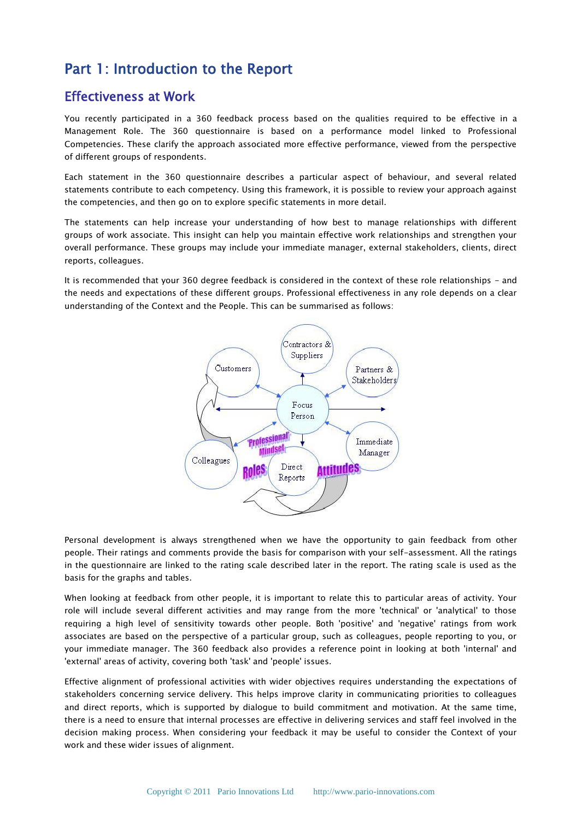# Part 1: Introduction to the Report

### Effectiveness at Work

You recently participated in a 360 feedback process based on the qualities required to be effective in a Management Role. The 360 questionnaire is based on a performance model linked to Professional Competencies. These clarify the approach associated more effective performance, viewed from the perspective of different groups of respondents.

Each statement in the 360 questionnaire describes a particular aspect of behaviour, and several related statements contribute to each competency. Using this framework, it is possible to review your approach against the competencies, and then go on to explore specific statements in more detail.

The statements can help increase your understanding of how best to manage relationships with different groups of work associate. This insight can help you maintain effective work relationships and strengthen your overall performance. These groups may include your immediate manager, external stakeholders, clients, direct reports, colleagues.

It is recommended that your 360 degree feedback is considered in the context of these role relationships - and the needs and expectations of these different groups. Professional effectiveness in any role depends on a clear understanding of the Context and the People. This can be summarised as follows:



Personal development is always strengthened when we have the opportunity to gain feedback from other people. Their ratings and comments provide the basis for comparison with your self-assessment. All the ratings in the questionnaire are linked to the rating scale described later in the report. The rating scale is used as the basis for the graphs and tables.

When looking at feedback from other people, it is important to relate this to particular areas of activity. Your role will include several different activities and may range from the more 'technical' or 'analytical' to those requiring a high level of sensitivity towards other people. Both 'positive' and 'negative' ratings from work associates are based on the perspective of a particular group, such as colleagues, people reporting to you, or your immediate manager. The 360 feedback also provides a reference point in looking at both 'internal' and 'external' areas of activity, covering both 'task' and 'people' issues.

Effective alignment of professional activities with wider objectives requires understanding the expectations of stakeholders concerning service delivery. This helps improve clarity in communicating priorities to colleagues and direct reports, which is supported by dialogue to build commitment and motivation. At the same time, there is a need to ensure that internal processes are effective in delivering services and staff feel involved in the decision making process. When considering your feedback it may be useful to consider the Context of your work and these wider issues of alignment.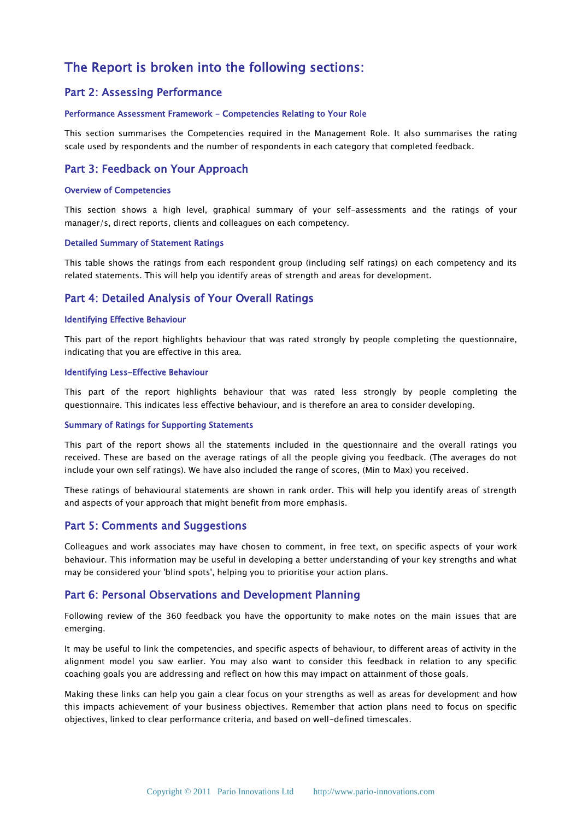### The Report is broken into the following sections:

#### Part 2: Assessing Performance

#### Performance Assessment Framework - Competencies Relating to Your Role

This section summarises the Competencies required in the Management Role. It also summarises the rating scale used by respondents and the number of respondents in each category that completed feedback.

#### Part 3: Feedback on Your Approach

#### Overview of Competencies

This section shows a high level, graphical summary of your self-assessments and the ratings of your manager/s, direct reports, clients and colleagues on each competency.

#### Detailed Summary of Statement Ratings

This table shows the ratings from each respondent group (including self ratings) on each competency and its related statements. This will help you identify areas of strength and areas for development.

#### Part 4: Detailed Analysis of Your Overall Ratings

#### Identifying Effective Behaviour

This part of the report highlights behaviour that was rated strongly by people completing the questionnaire, indicating that you are effective in this area.

#### Identifying Less-Effective Behaviour

This part of the report highlights behaviour that was rated less strongly by people completing the questionnaire. This indicates less effective behaviour, and is therefore an area to consider developing.

#### Summary of Ratings for Supporting Statements

This part of the report shows all the statements included in the questionnaire and the overall ratings you received. These are based on the average ratings of all the people giving you feedback. (The averages do not include your own self ratings). We have also included the range of scores, (Min to Max) you received.

These ratings of behavioural statements are shown in rank order. This will help you identify areas of strength and aspects of your approach that might benefit from more emphasis.

#### Part 5: Comments and Suggestions

Colleagues and work associates may have chosen to comment, in free text, on specific aspects of your work behaviour. This information may be useful in developing a better understanding of your key strengths and what may be considered your 'blind spots', helping you to prioritise your action plans.

#### Part 6: Personal Observations and Development Planning

Following review of the 360 feedback you have the opportunity to make notes on the main issues that are emerging.

It may be useful to link the competencies, and specific aspects of behaviour, to different areas of activity in the alignment model you saw earlier. You may also want to consider this feedback in relation to any specific coaching goals you are addressing and reflect on how this may impact on attainment of those goals.

Making these links can help you gain a clear focus on your strengths as well as areas for development and how this impacts achievement of your business objectives. Remember that action plans need to focus on specific objectives, linked to clear performance criteria, and based on well-defined timescales.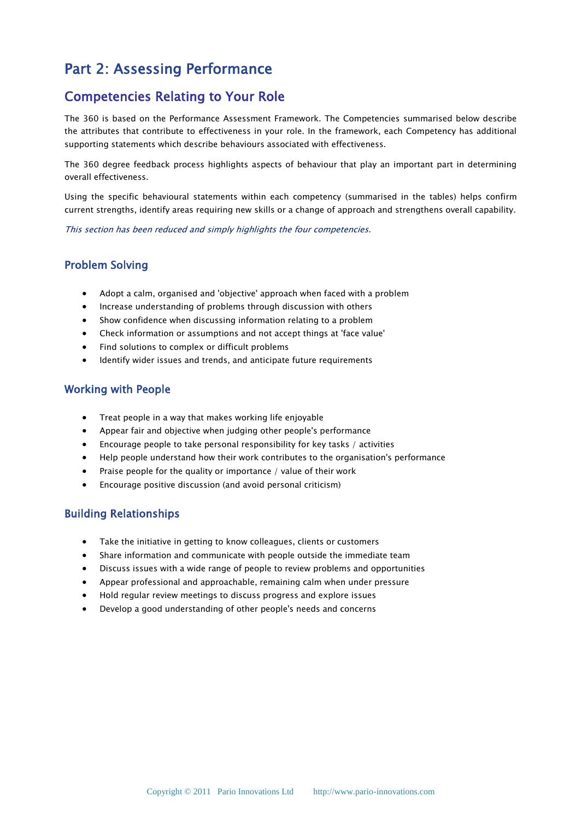# Part 2: Assessing Performance

### Competencies Relating to Your Role

The 360 is based on the Performance Assessment Framework. The Competencies summarised below describe the attributes that contribute to effectiveness in your role. In the framework, each Competency has additional supporting statements which describe behaviours associated with effectiveness.

The 360 degree feedback process highlights aspects of behaviour that play an important part in determining overall effectiveness.

Using the specific behavioural statements within each competency (summarised in the tables) helps confirm current strengths, identify areas requiring new skills or a change of approach and strengthens overall capability.

This section has been reduced and simply highlights the four competencies.

### Problem Solving

- Adopt a calm, organised and 'objective' approach when faced with a problem
- Increase understanding of problems through discussion with others
- Show confidence when discussing information relating to a problem
- Check information or assumptions and not accept things at 'face value'
- Find solutions to complex or difficult problems
- Identify wider issues and trends, and anticipate future requirements

#### Working with People

- Treat people in a way that makes working life enjoyable
- Appear fair and objective when judging other people's performance
- Encourage people to take personal responsibility for key tasks / activities
- Help people understand how their work contributes to the organisation's performance
- Praise people for the quality or importance / value of their work
- Encourage positive discussion (and avoid personal criticism)

#### Building Relationships

- Take the initiative in getting to know colleagues, clients or customers
- Share information and communicate with people outside the immediate team
- Discuss issues with a wide range of people to review problems and opportunities
- Appear professional and approachable, remaining calm when under pressure
- Hold regular review meetings to discuss progress and explore issues
- Develop a good understanding of other people's needs and concerns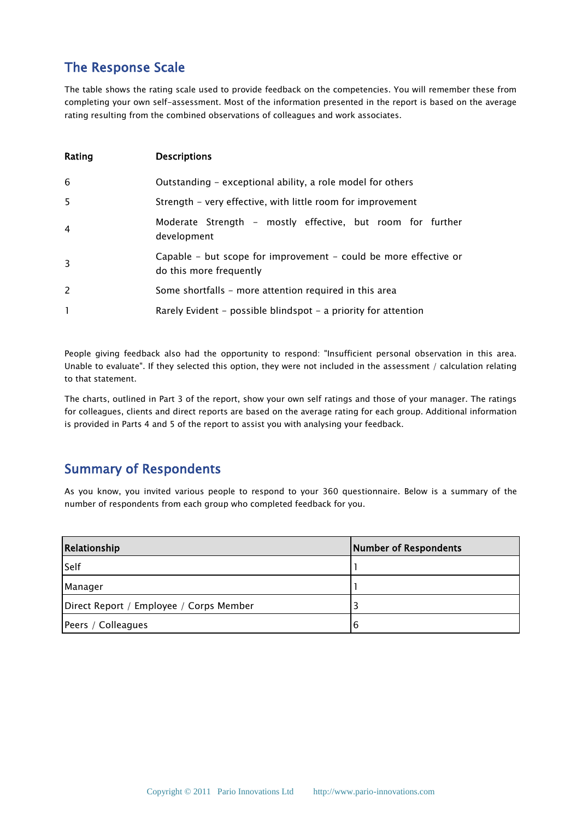### The Response Scale

The table shows the rating scale used to provide feedback on the competencies. You will remember these from completing your own self-assessment. Most of the information presented in the report is based on the average rating resulting from the combined observations of colleagues and work associates.

| Rating       | <b>Descriptions</b>                                                                         |
|--------------|---------------------------------------------------------------------------------------------|
| 6            | Outstanding – exceptional ability, a role model for others                                  |
| 5            | Strength - very effective, with little room for improvement                                 |
| 4            | Moderate Strength - mostly effective, but room for further<br>development                   |
| 3            | Capable – but scope for improvement – could be more effective or<br>do this more frequently |
| 2            | Some shortfalls – more attention required in this area                                      |
| $\mathbf{1}$ | Rarely Evident – possible blindspot – a priority for attention                              |

People giving feedback also had the opportunity to respond: "Insufficient personal observation in this area. Unable to evaluate". If they selected this option, they were not included in the assessment / calculation relating to that statement.

The charts, outlined in Part 3 of the report, show your own self ratings and those of your manager. The ratings for colleagues, clients and direct reports are based on the average rating for each group. Additional information is provided in Parts 4 and 5 of the report to assist you with analysing your feedback.

### Summary of Respondents

As you know, you invited various people to respond to your 360 questionnaire. Below is a summary of the number of respondents from each group who completed feedback for you.

| Relationship                            | Number of Respondents |
|-----------------------------------------|-----------------------|
| Self                                    |                       |
| Manager                                 |                       |
| Direct Report / Employee / Corps Member |                       |
| Peers / Colleagues                      | 6                     |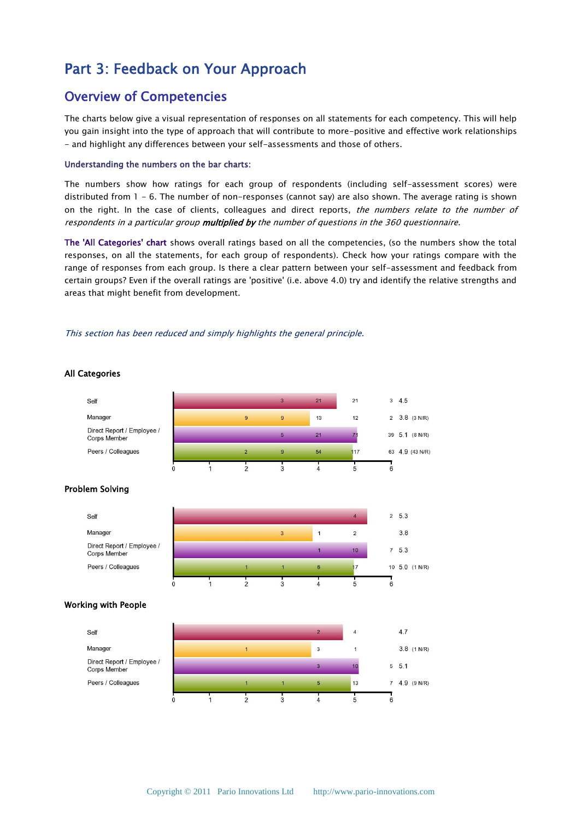# Part 3: Feedback on Your Approach

### Overview of Competencies

The charts below give a visual representation of responses on all statements for each competency. This will help you gain insight into the type of approach that will contribute to more-positive and effective work relationships - and highlight any differences between your self-assessments and those of others.

#### Understanding the numbers on the bar charts:

The numbers show how ratings for each group of respondents (including self-assessment scores) were distributed from 1 - 6. The number of non-responses (cannot say) are also shown. The average rating is shown on the right. In the case of clients, colleagues and direct reports, the numbers relate to the number of respondents in a particular group multiplied by the number of questions in the 360 questionnaire.

The 'All Categories' chart shows overall ratings based on all the competencies, (so the numbers show the total responses, on all the statements, for each group of respondents). Check how your ratings compare with the range of responses from each group. Is there a clear pattern between your self-assessment and feedback from certain groups? Even if the overall ratings are 'positive' (i.e. above 4.0) try and identify the relative strengths and areas that might benefit from development.

#### This section has been reduced and simply highlights the general principle.

#### All Categories

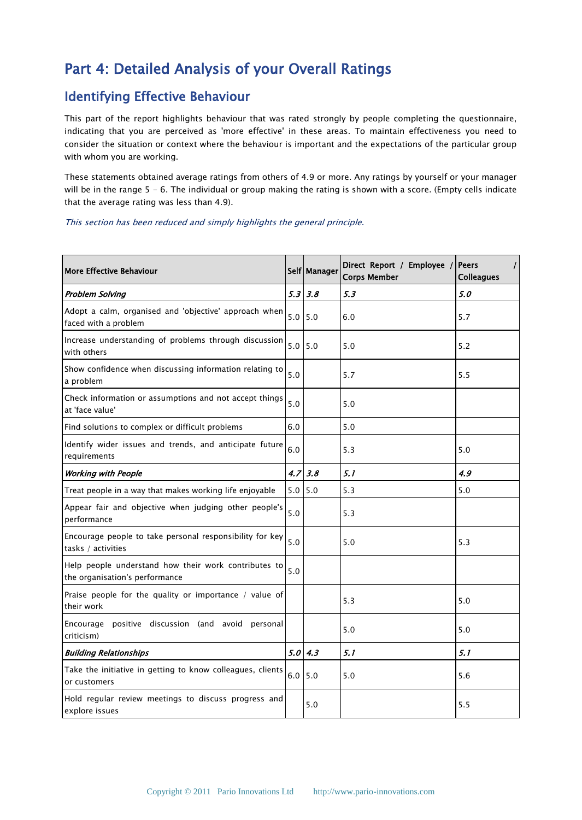# Part 4: Detailed Analysis of your Overall Ratings

### Identifying Effective Behaviour

This part of the report highlights behaviour that was rated strongly by people completing the questionnaire, indicating that you are perceived as 'more effective' in these areas. To maintain effectiveness you need to consider the situation or context where the behaviour is important and the expectations of the particular group with whom you are working.

These statements obtained average ratings from others of 4.9 or more. Any ratings by yourself or your manager will be in the range 5 - 6. The individual or group making the rating is shown with a score. (Empty cells indicate that the average rating was less than 4.9).

#### This section has been reduced and simply highlights the general principle.

| <b>More Effective Behaviour</b>                                                        |                  | Self Manager      | Direct Report / Employee /<br><b>Corps Member</b> | <b>Peers</b><br>$\prime$<br><b>Colleagues</b> |
|----------------------------------------------------------------------------------------|------------------|-------------------|---------------------------------------------------|-----------------------------------------------|
| <b>Problem Solving</b>                                                                 |                  | $5.3 \,   \, 3.8$ | 5.3                                               | 5.0                                           |
| Adopt a calm, organised and 'objective' approach when<br>faced with a problem          | $5.0$ 5.0        |                   | 6.0                                               | 5.7                                           |
| Increase understanding of problems through discussion<br>with others                   | $5.0$ 5.0        |                   | 5.0                                               | 5.2                                           |
| Show confidence when discussing information relating to<br>a problem                   | 5.0              |                   | 5.7                                               | 5.5                                           |
| Check information or assumptions and not accept things<br>at 'face value'              | 5.0              |                   | 5.0                                               |                                               |
| Find solutions to complex or difficult problems                                        | 6.0              |                   | 5.0                                               |                                               |
| Identify wider issues and trends, and anticipate future<br>requirements                | 6.0              |                   | 5.3                                               | 5.0                                           |
| <b>Working with People</b>                                                             | 4.7 <sup>1</sup> | 3.8               | 5.1                                               | 4.9                                           |
| Treat people in a way that makes working life enjoyable                                | 5.0              | 5.0               | 5.3                                               | 5.0                                           |
| Appear fair and objective when judging other people's<br>performance                   | $5.0$            |                   | 5.3                                               |                                               |
| Encourage people to take personal responsibility for key<br>tasks / activities         | $5.0$            |                   | $5.0$                                             | 5.3                                           |
| Help people understand how their work contributes to<br>the organisation's performance | 5.0              |                   |                                                   |                                               |
| Praise people for the quality or importance / value of<br>their work                   |                  |                   | 5.3                                               | 5.0                                           |
| Encourage positive discussion (and avoid personal<br>criticism)                        |                  |                   | 5.0                                               | 5.0                                           |
| <b>Building Relationships</b>                                                          |                  | 5.0   4.3         | 5.1                                               | 5.1                                           |
| Take the initiative in getting to know colleagues, clients<br>or customers             | 6.0              | 5.0               | 5.0                                               | 5.6                                           |
| Hold regular review meetings to discuss progress and<br>explore issues                 |                  | 5.0               |                                                   | 5.5                                           |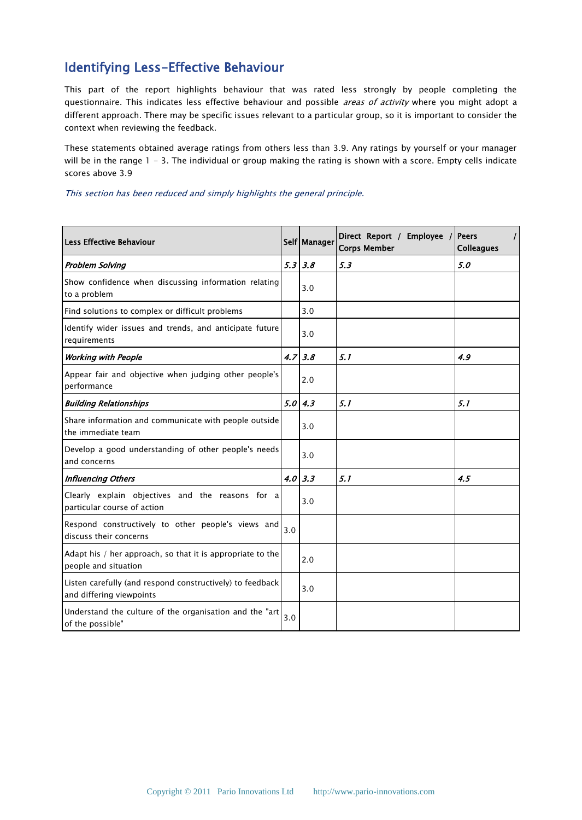## Identifying Less-Effective Behaviour

This part of the report highlights behaviour that was rated less strongly by people completing the questionnaire. This indicates less effective behaviour and possible *areas of activity* where you might adopt a different approach. There may be specific issues relevant to a particular group, so it is important to consider the context when reviewing the feedback.

These statements obtained average ratings from others less than 3.9. Any ratings by yourself or your manager will be in the range 1 - 3. The individual or group making the rating is shown with a score. Empty cells indicate scores above 3.9

This section has been reduced and simply highlights the general principle.

| <b>Less Effective Behaviour</b>                                                       |     | Self   Manager    | Direct Report / Employee /<br><b>Corps Member</b> | <b>Peers</b><br>$\prime$<br><b>Colleagues</b> |
|---------------------------------------------------------------------------------------|-----|-------------------|---------------------------------------------------|-----------------------------------------------|
| <b>Problem Solving</b>                                                                |     | $5.3 \,   \, 3.8$ | 5.3                                               | 5.0                                           |
| Show confidence when discussing information relating<br>to a problem                  |     | 3.0               |                                                   |                                               |
| Find solutions to complex or difficult problems                                       |     | 3.0               |                                                   |                                               |
| Identify wider issues and trends, and anticipate future<br>requirements               |     | 3.0               |                                                   |                                               |
| <b>Working with People</b>                                                            |     | $4.7 \, 3.8$      | 5.1                                               | 4.9                                           |
| Appear fair and objective when judging other people's<br>performance                  |     | 2.0               |                                                   |                                               |
| <b>Building Relationships</b>                                                         |     | 5.0   4.3         | 5.1                                               | 5.1                                           |
| Share information and communicate with people outside<br>the immediate team           |     | 3.0               |                                                   |                                               |
| Develop a good understanding of other people's needs<br>and concerns                  |     | 3.0               |                                                   |                                               |
| <b>Influencing Others</b>                                                             |     | $4.0 \,   \, 3.3$ | 5.1                                               | 4.5                                           |
| Clearly explain objectives and the reasons for a<br>particular course of action       |     | 3.0               |                                                   |                                               |
| Respond constructively to other people's views and<br>discuss their concerns          | 3.0 |                   |                                                   |                                               |
| Adapt his / her approach, so that it is appropriate to the<br>people and situation    |     | 2.0               |                                                   |                                               |
| Listen carefully (and respond constructively) to feedback<br>and differing viewpoints |     | 3.0               |                                                   |                                               |
| Understand the culture of the organisation and the "art<br>of the possible"           | 3.0 |                   |                                                   |                                               |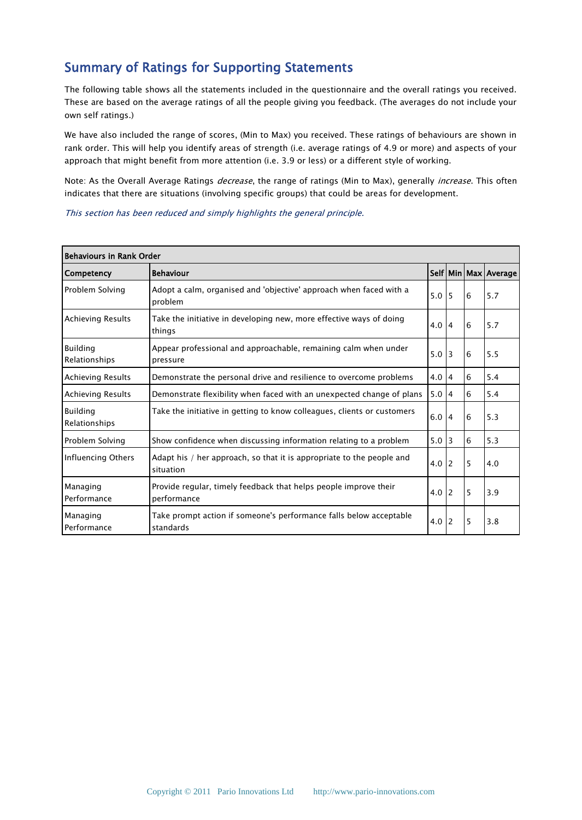# Summary of Ratings for Supporting Statements

The following table shows all the statements included in the questionnaire and the overall ratings you received. These are based on the average ratings of all the people giving you feedback. (The averages do not include your own self ratings.)

We have also included the range of scores, (Min to Max) you received. These ratings of behaviours are shown in rank order. This will help you identify areas of strength (i.e. average ratings of 4.9 or more) and aspects of your approach that might benefit from more attention (i.e. 3.9 or less) or a different style of working.

Note: As the Overall Average Ratings *decrease*, the range of ratings (Min to Max), generally *increase*. This often indicates that there are situations (involving specific groups) that could be areas for development.

This section has been reduced and simply highlights the general principle.

| <b>Behaviours in Rank Order</b>  |                                                                                    |     |                |   |                      |
|----------------------------------|------------------------------------------------------------------------------------|-----|----------------|---|----------------------|
| Competency                       | <b>Behaviour</b>                                                                   |     |                |   | Self Min Max Average |
| Problem Solving                  | Adopt a calm, organised and 'objective' approach when faced with a<br>problem      | 5.0 | 15             | 6 | 5.7                  |
| <b>Achieving Results</b>         | Take the initiative in developing new, more effective ways of doing<br>things      | 4.0 | $\overline{4}$ | 6 | 5.7                  |
| <b>Building</b><br>Relationships | Appear professional and approachable, remaining calm when under<br>pressure        | 5.0 | 13             | 6 | 5.5                  |
| Achieving Results                | Demonstrate the personal drive and resilience to overcome problems                 | 4.0 | $\overline{4}$ | 6 | 5.4                  |
| <b>Achieving Results</b>         | Demonstrate flexibility when faced with an unexpected change of plans              | 5.0 | $\overline{4}$ | 6 | 5.4                  |
| <b>Building</b><br>Relationships | Take the initiative in getting to know colleagues, clients or customers            | 6.0 | $\overline{4}$ | 6 | 5.3                  |
| Problem Solving                  | Show confidence when discussing information relating to a problem                  | 5.0 | l 3            | 6 | 5.3                  |
| Influencing Others               | Adapt his / her approach, so that it is appropriate to the people and<br>situation | 4.0 | <sup>2</sup>   | 5 | 4.0                  |
| Managing<br>Performance          | Provide regular, timely feedback that helps people improve their<br>performance    | 4.0 | <sup>2</sup>   | 5 | 3.9                  |
| Managing<br>Performance          | Take prompt action if someone's performance falls below acceptable<br>standards    | 4.0 | <sup>2</sup>   | 5 | 3.8                  |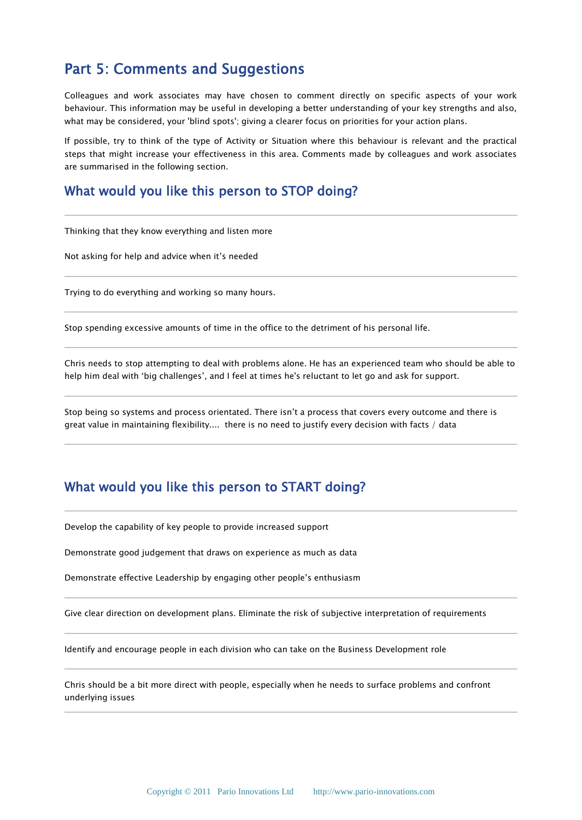# Part 5: Comments and Suggestions

Colleagues and work associates may have chosen to comment directly on specific aspects of your work behaviour. This information may be useful in developing a better understanding of your key strengths and also, what may be considered, your 'blind spots'; giving a clearer focus on priorities for your action plans.

If possible, try to think of the type of Activity or Situation where this behaviour is relevant and the practical steps that might increase your effectiveness in this area. Comments made by colleagues and work associates are summarised in the following section.

### What would you like this person to STOP doing?

Thinking that they know everything and listen more

Not asking for help and advice when it's needed

Trying to do everything and working so many hours.

Stop spending excessive amounts of time in the office to the detriment of his personal life.

Chris needs to stop attempting to deal with problems alone. He has an experienced team who should be able to help him deal with 'big challenges', and I feel at times he's reluctant to let go and ask for support.

Stop being so systems and process orientated. There isn't a process that covers every outcome and there is great value in maintaining flexibility.... there is no need to justify every decision with facts / data

### What would you like this person to START doing?

Develop the capability of key people to provide increased support

Demonstrate good judgement that draws on experience as much as data

Demonstrate effective Leadership by engaging other people's enthusiasm

Give clear direction on development plans. Eliminate the risk of subjective interpretation of requirements

Identify and encourage people in each division who can take on the Business Development role

Chris should be a bit more direct with people, especially when he needs to surface problems and confront underlying issues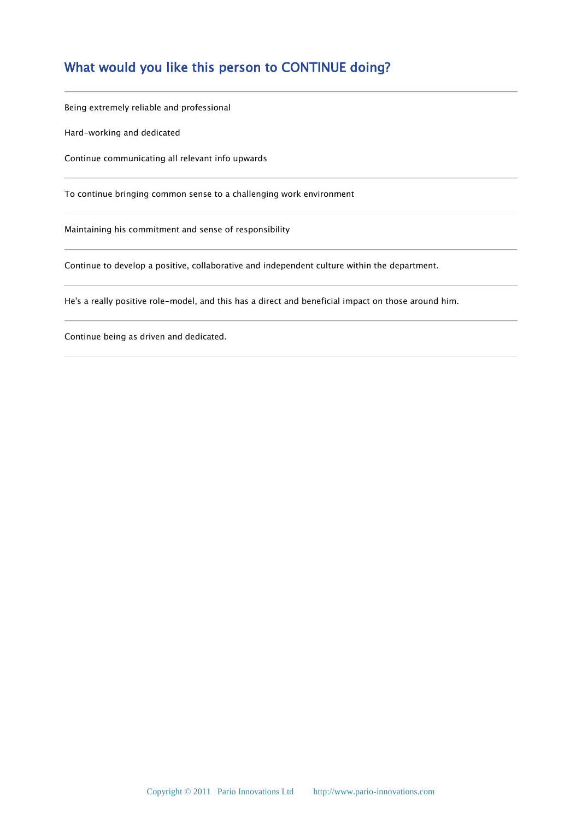# What would you like this person to CONTINUE doing?

Being extremely reliable and professional

Hard-working and dedicated

Continue communicating all relevant info upwards

To continue bringing common sense to a challenging work environment

Maintaining his commitment and sense of responsibility

Continue to develop a positive, collaborative and independent culture within the department.

He's a really positive role-model, and this has a direct and beneficial impact on those around him.

Continue being as driven and dedicated.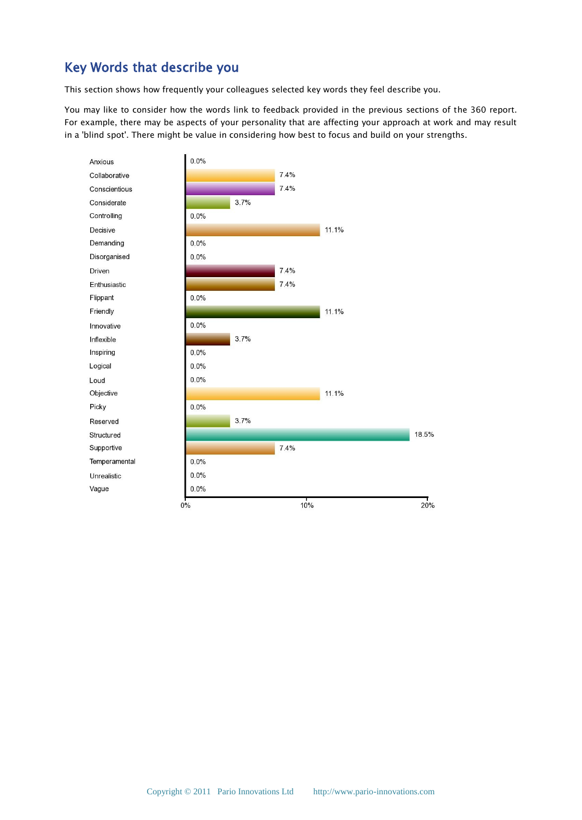# Key Words that describe you

This section shows how frequently your colleagues selected key words they feel describe you.

You may like to consider how the words link to feedback provided in the previous sections of the 360 report. For example, there may be aspects of your personality that are affecting your approach at work and may result in a 'blind spot'. There might be value in considering how best to focus and build on your strengths.

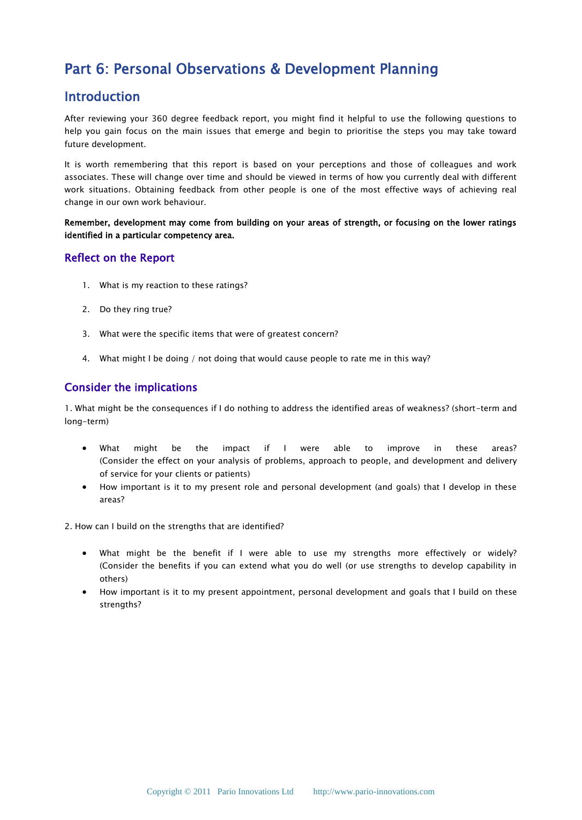# Part 6: Personal Observations & Development Planning

### Introduction

After reviewing your 360 degree feedback report, you might find it helpful to use the following questions to help you gain focus on the main issues that emerge and begin to prioritise the steps you may take toward future development.

It is worth remembering that this report is based on your perceptions and those of colleagues and work associates. These will change over time and should be viewed in terms of how you currently deal with different work situations. Obtaining feedback from other people is one of the most effective ways of achieving real change in our own work behaviour.

Remember, development may come from building on your areas of strength, or focusing on the lower ratings identified in a particular competency area.

#### Reflect on the Report

- 1. What is my reaction to these ratings?
- 2. Do they ring true?
- 3. What were the specific items that were of greatest concern?
- 4. What might I be doing / not doing that would cause people to rate me in this way?

### Consider the implications

1. What might be the consequences if I do nothing to address the identified areas of weakness? (short-term and long-term)

- What might be the impact if I were able to improve in these areas? (Consider the effect on your analysis of problems, approach to people, and development and delivery of service for your clients or patients)
- How important is it to my present role and personal development (and goals) that I develop in these areas?
- 2. How can I build on the strengths that are identified?
	- What might be the benefit if I were able to use my strengths more effectively or widely? (Consider the benefits if you can extend what you do well (or use strengths to develop capability in others)
	- How important is it to my present appointment, personal development and goals that I build on these strengths?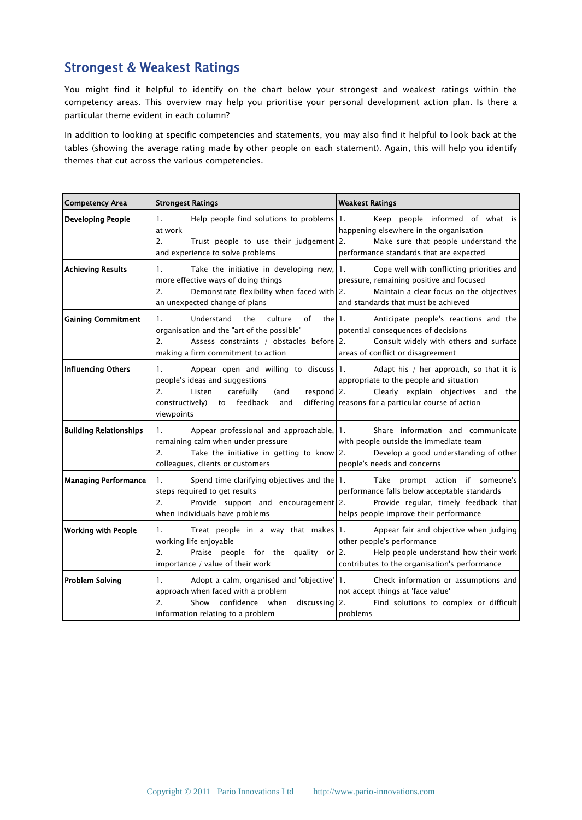# Strongest & Weakest Ratings

You might find it helpful to identify on the chart below your strongest and weakest ratings within the competency areas. This overview may help you prioritise your personal development action plan. Is there a particular theme evident in each column?

In addition to looking at specific competencies and statements, you may also find it helpful to look back at the tables (showing the average rating made by other people on each statement). Again, this will help you identify themes that cut across the various competencies.

| <b>Competency Area</b>        | <b>Strongest Ratings</b>                                                                                                                                                                              | <b>Weakest Ratings</b>                                                                                                                                                          |
|-------------------------------|-------------------------------------------------------------------------------------------------------------------------------------------------------------------------------------------------------|---------------------------------------------------------------------------------------------------------------------------------------------------------------------------------|
| <b>Developing People</b>      | 1.<br>Help people find solutions to problems 1.<br>at work<br>2.<br>Trust people to use their judgement 2.<br>and experience to solve problems                                                        | Keep people informed of what is<br>happening elsewhere in the organisation<br>Make sure that people understand the<br>performance standards that are expected                   |
| <b>Achieving Results</b>      | 1.<br>Take the initiative in developing new, $ 1.1\rangle$<br>more effective ways of doing things<br>2.<br>Demonstrate flexibility when faced with 2.<br>an unexpected change of plans                | Cope well with conflicting priorities and<br>pressure, remaining positive and focused<br>Maintain a clear focus on the objectives<br>and standards that must be achieved        |
| <b>Gaining Commitment</b>     | Understand<br>culture<br>$\mathbf{1}$ .<br>the<br>of<br>the II.<br>organisation and the "art of the possible"<br>2.<br>Assess constraints / obstacles before 2.<br>making a firm commitment to action | Anticipate people's reactions and the<br>potential consequences of decisions<br>Consult widely with others and surface<br>areas of conflict or disagreement                     |
| <b>Influencing Others</b>     | 1.<br>Appear open and willing to discuss 1.<br>people's ideas and suggestions<br>2.<br>carefully<br>Listen<br>$respond$ 2.<br>(and<br>constructively)<br>to feedback<br>and<br>viewpoints             | Adapt his / her approach, so that it is<br>appropriate to the people and situation<br>Clearly explain objectives and the<br>differing reasons for a particular course of action |
| <b>Building Relationships</b> | 1.<br>Appear professional and approachable, 1.<br>remaining calm when under pressure<br>2.<br>Take the initiative in getting to know 2.<br>colleagues, clients or customers                           | Share information and communicate<br>with people outside the immediate team<br>Develop a good understanding of other<br>people's needs and concerns                             |
| <b>Managing Performance</b>   | 1.<br>Spend time clarifying objectives and the   1.<br>steps required to get results<br>2.<br>Provide support and encouragement 2.<br>when individuals have problems                                  | Take prompt action if someone's<br>performance falls below acceptable standards<br>Provide regular, timely feedback that<br>helps people improve their performance              |
| <b>Working with People</b>    | $\mathbf{1}$ .<br>Treat people in a way that makes 1.<br>working life enjoyable<br>2.<br>Praise people for the quality or $ 2$ .<br>importance / value of their work                                  | Appear fair and objective when judging<br>other people's performance<br>Help people understand how their work<br>contributes to the organisation's performance                  |
| <b>Problem Solving</b>        | Adopt a calm, organised and 'objective' 1.<br>1.<br>approach when faced with a problem<br>$\overline{2}$ .<br>confidence when<br>Show<br>discussing 2.<br>information relating to a problem           | Check information or assumptions and<br>not accept things at 'face value'<br>Find solutions to complex or difficult<br>problems                                                 |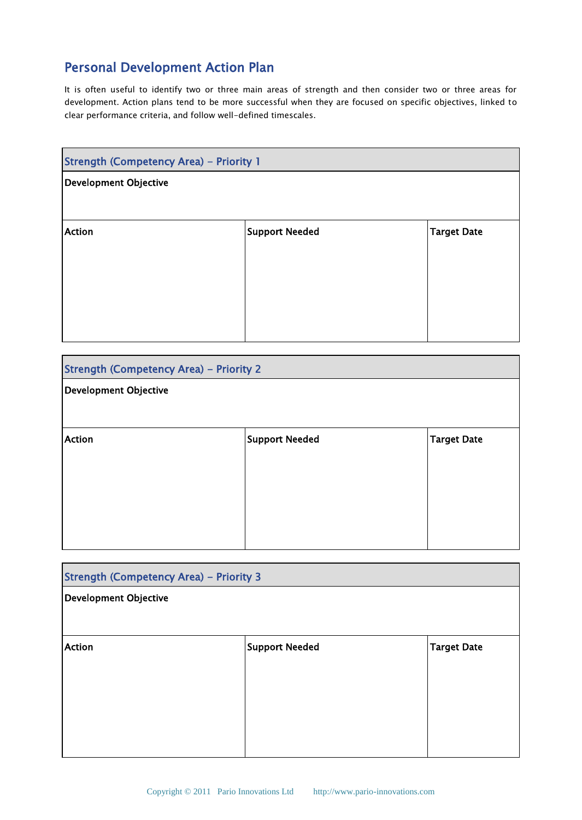# Personal Development Action Plan

It is often useful to identify two or three main areas of strength and then consider two or three areas for development. Action plans tend to be more successful when they are focused on specific objectives, linked to clear performance criteria, and follow well-defined timescales.

| <b>Strength (Competency Area) - Priority 1</b> |                       |                    |  |
|------------------------------------------------|-----------------------|--------------------|--|
| <b>Development Objective</b>                   |                       |                    |  |
|                                                |                       |                    |  |
| <b>Action</b>                                  | <b>Support Needed</b> | <b>Target Date</b> |  |
|                                                |                       |                    |  |
|                                                |                       |                    |  |
|                                                |                       |                    |  |
|                                                |                       |                    |  |

| <b>Strength (Competency Area) - Priority 2</b> |                       |                    |  |
|------------------------------------------------|-----------------------|--------------------|--|
| Development Objective                          |                       |                    |  |
|                                                |                       |                    |  |
| <b>Action</b>                                  | <b>Support Needed</b> | <b>Target Date</b> |  |
|                                                |                       |                    |  |
|                                                |                       |                    |  |
|                                                |                       |                    |  |
|                                                |                       |                    |  |

| <b>Strength (Competency Area) - Priority 3</b> |                       |             |
|------------------------------------------------|-----------------------|-------------|
| Development Objective                          |                       |             |
|                                                |                       |             |
| <b>Action</b>                                  | <b>Support Needed</b> | Target Date |
|                                                |                       |             |
|                                                |                       |             |
|                                                |                       |             |
|                                                |                       |             |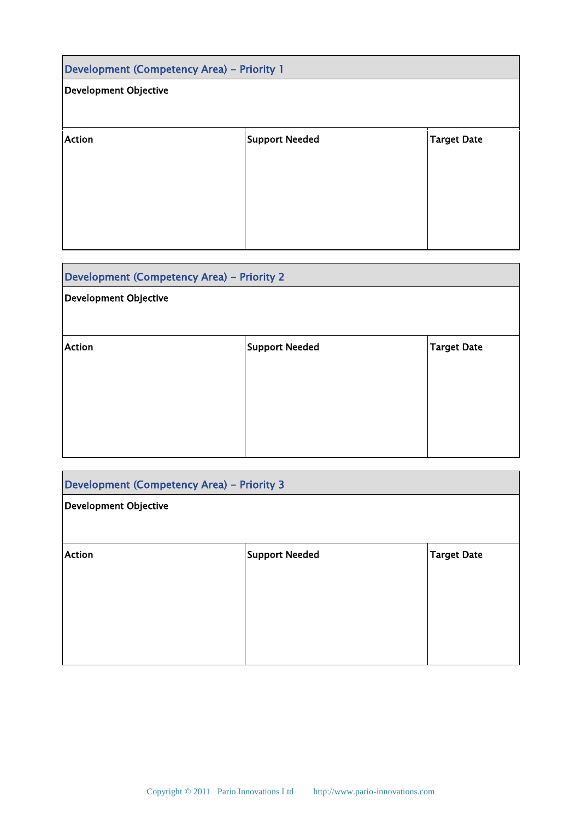| Development (Competency Area) - Priority 1 |                       |                    |  |
|--------------------------------------------|-----------------------|--------------------|--|
| <b>Development Objective</b>               |                       |                    |  |
|                                            |                       |                    |  |
| <b>Action</b>                              | <b>Support Needed</b> | <b>Target Date</b> |  |
|                                            |                       |                    |  |
|                                            |                       |                    |  |
|                                            |                       |                    |  |
|                                            |                       |                    |  |

| Development (Competency Area) - Priority 2 |                |                    |  |
|--------------------------------------------|----------------|--------------------|--|
| <b>Development Objective</b>               |                |                    |  |
|                                            |                |                    |  |
| <b>Action</b>                              | Support Needed | <b>Target Date</b> |  |
|                                            |                |                    |  |
|                                            |                |                    |  |
|                                            |                |                    |  |
|                                            |                |                    |  |

| Development (Competency Area) - Priority 3 |                       |                    |  |  |
|--------------------------------------------|-----------------------|--------------------|--|--|
| <b>Development Objective</b>               |                       |                    |  |  |
|                                            |                       |                    |  |  |
| <b>Action</b>                              | <b>Support Needed</b> | <b>Target Date</b> |  |  |
|                                            |                       |                    |  |  |
|                                            |                       |                    |  |  |
|                                            |                       |                    |  |  |
|                                            |                       |                    |  |  |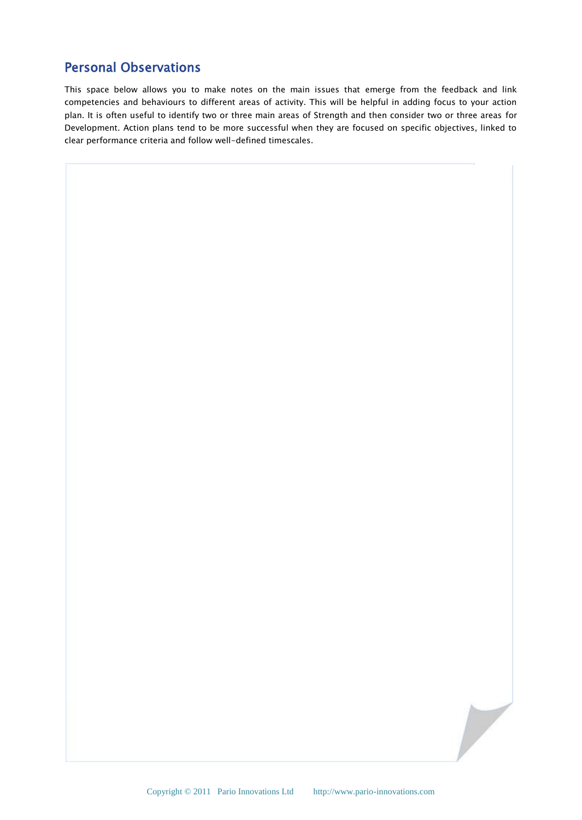### Personal Observations

This space below allows you to make notes on the main issues that emerge from the feedback and link competencies and behaviours to different areas of activity. This will be helpful in adding focus to your action plan. It is often useful to identify two or three main areas of Strength and then consider two or three areas for Development. Action plans tend to be more successful when they are focused on specific objectives, linked to clear performance criteria and follow well-defined timescales.